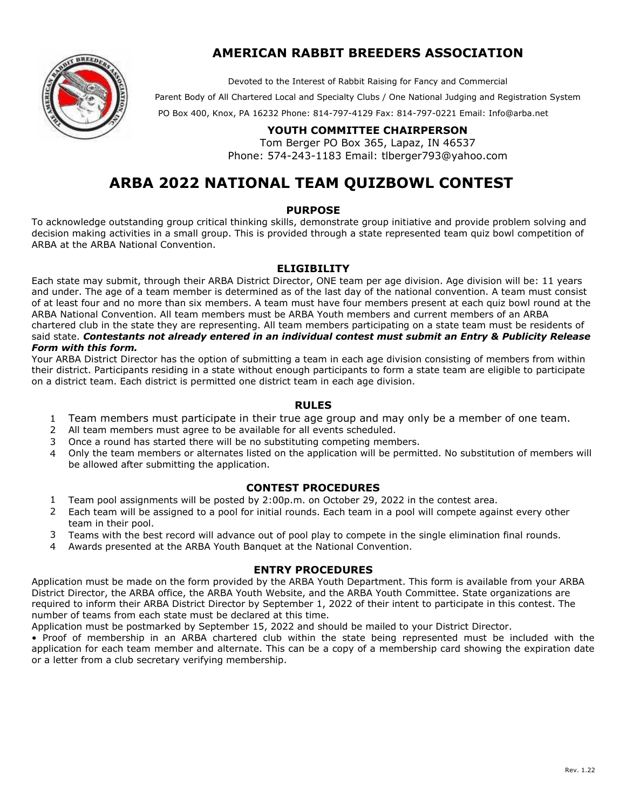

Devoted to the Interest of Rabbit Raising for Fancy and Commercial

Parent Body of All Chartered Local and Specialty Clubs / One National Judging and Registration System

PO Box 400, Knox, PA 16232 Phone: 814-797-4129 Fax: 814-797-0221 Email: Info@[arba.net](mailto:Info@arba.net) 

### **YOUTH COMMITTEE CHAIRPERSON**

Tom Berger PO Box 365, Lapaz, IN 46537 Phone: 574-243-1183 Email: tlbe[rger793@yahoo.c](mailto:youth@arba.net)om

# **ARBA 2022 NATIONAL TEAM QUIZBOWL CONTEST**

#### **PURPOSE**

To acknowledge outstanding group critical thinking skills, demonstrate group initiative and provide problem solving and decision making activities in a small group. This is provided through a state represented team quiz bowl competition of ARBA at the ARBA National Convention.

#### **ELIGIBILITY**

Each state may submit, through their ARBA District Director, ONE team per age division. Age division will be: 11 years and under. The age of a team member is determined as of the last day of the national convention. A team must consist of at least four and no more than six members. A team must have four members present at each quiz bowl round at the ARBA National Convention. All team members must be ARBA Youth members and current members of an ARBA chartered club in the state they are representing. All team members participating on a state team must be residents of said state. *Contestants not already entered in an individual contest must submit an Entry & Publicity Release Form with this form.* 

Your ARBA District Director has the option of submitting a team in each age division consisting of members from within their district. Participants residing in a state without enough participants to form a state team are eligible to participate on a district team. Each district is permitted one district team in each age division.

#### **RULES**

- 1 Team members must participate in their true age group and may only be a member of one team.
- 2 All team members must agree to be available for all events scheduled.
- 3 Once a round has started there will be no substituting competing members.
- 4 Only the team members or alternates listed on the application will be permitted. No substitution of members will be allowed after submitting the application.

#### **CONTEST PROCEDURES**

- 1 Team pool assignments will be posted by 2:00p.m. on October 29, 2022 in the contest area.
- 2 Each team will be assigned to a pool for initial rounds. Each team in a pool will compete against every other team in their pool.
- 3 Teams with the best record will advance out of pool play to compete in the single elimination final rounds.
- 4 Awards presented at the ARBA Youth Banquet at the National Convention.

#### **ENTRY PROCEDURES**

Application must be made on the form provided by the ARBA Youth Department. This form is available from your ARBA District Director, the ARBA office, the ARBA Youth Website, and the ARBA Youth Committee. State organizations are required to inform their ARBA District Director by September 1, 2022 of their intent to participate in this contest. The number of teams from each state must be declared at this time.

Application must be postmarked by September 15, 2022 and should be mailed to your District Director.

• Proof of membership in an ARBA chartered club within the state being represented must be included with the application for each team member and alternate. This can be a copy of a membership card showing the expiration date or a letter from a club secretary verifying membership.